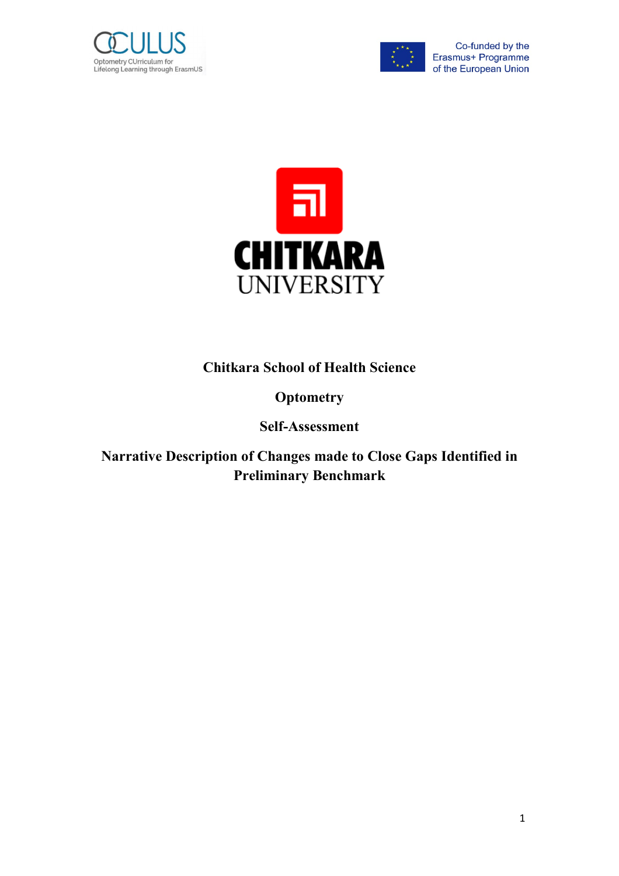



Co-funded by the Erasmus+ Programme of the European Union



**Chitkara School of Health Science** 

## **Optometry**

## **Self-Assessment**

**Narrative Description of Changes made to Close Gaps Identified in Preliminary Benchmark**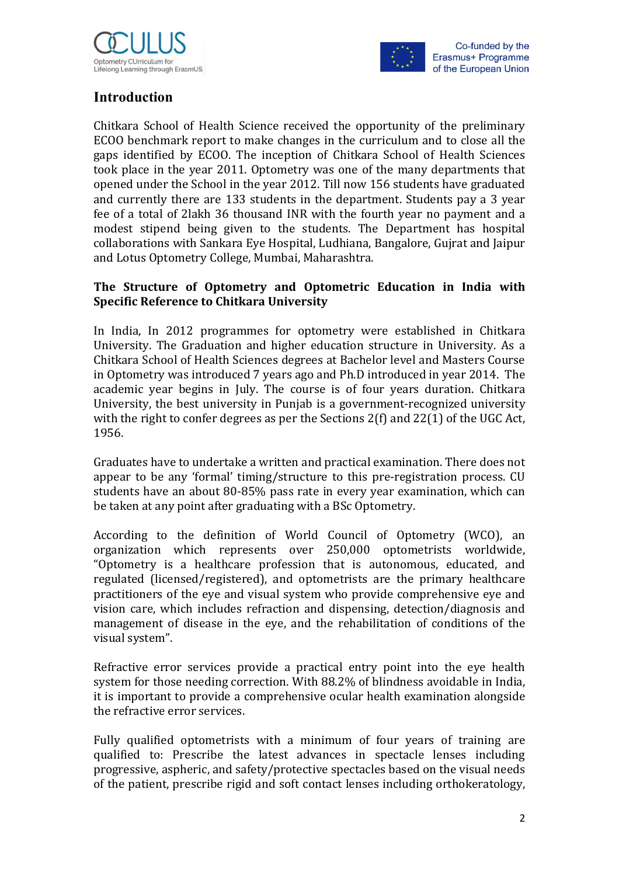



## **Introduction**

Chitkara School of Health Science received the opportunity of the preliminary ECOO benchmark report to make changes in the curriculum and to close all the gaps identified by ECOO. The inception of Chitkara School of Health Sciences took place in the year 2011. Optometry was one of the many departments that opened under the School in the year 2012. Till now 156 students have graduated and currently there are 133 students in the department. Students pay a 3 year fee of a total of 2lakh 36 thousand INR with the fourth year no payment and a modest stipend being given to the students. The Department has hospital collaborations with Sankara Eye Hospital, Ludhiana, Bangalore, Gujrat and Jaipur and Lotus Optometry College, Mumbai, Maharashtra.

### **The Structure of Optometry and Optometric Education in India with Specific Reference to Chitkara University**

In India, In 2012 programmes for optometry were established in Chitkara University. The Graduation and higher education structure in University. As a Chitkara School of Health Sciences degrees at Bachelor level and Masters Course in Optometry was introduced 7 years ago and Ph.D introduced in year 2014. The academic year begins in July. The course is of four years duration. Chitkara University, the best university in Punjab is a government-recognized university with the right to confer degrees as per the Sections 2(f) and 22(1) of the UGC Act, 1956.

Graduates have to undertake a written and practical examination. There does not appear to be any 'formal' timing/structure to this pre-registration process. CU students have an about 80-85% pass rate in every year examination, which can be taken at any point after graduating with a BSc Optometry.

According to the definition of World Council of Optometry (WCO), an organization which represents over 250,000 optometrists worldwide, "Optometry is a healthcare profession that is autonomous, educated, and regulated (licensed/registered), and optometrists are the primary healthcare practitioners of the eye and visual system who provide comprehensive eye and vision care, which includes refraction and dispensing, detection/diagnosis and management of disease in the eye, and the rehabilitation of conditions of the visual system".

Refractive error services provide a practical entry point into the eye health system for those needing correction. With 88.2% of blindness avoidable in India, it is important to provide a comprehensive ocular health examination alongside the refractive error services.

Fully qualified optometrists with a minimum of four years of training are qualified to: Prescribe the latest advances in spectacle lenses including progressive, aspheric, and safety/protective spectacles based on the visual needs of the patient, prescribe rigid and soft contact lenses including orthokeratology,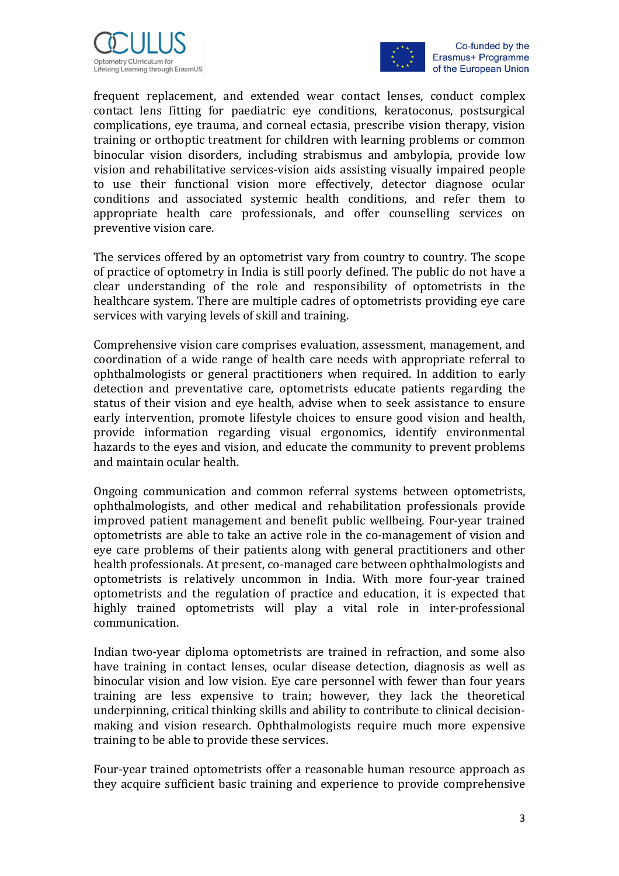



Co-funded by the Erasmus+ Programme of the European Union

frequent replacement, and extended wear contact lenses, conduct complex contact lens fitting for paediatric eye conditions, keratoconus, postsurgical complications, eye trauma, and corneal ectasia, prescribe vision therapy, vision training or orthoptic treatment for children with learning problems or common binocular vision disorders, including strabismus and ambylopia, provide low vision and rehabilitative services-vision aids assisting visually impaired people to use their functional vision more effectively, detector diagnose ocular conditions and associated systemic health conditions, and refer them to appropriate health care professionals, and offer counselling services on preventive vision care.

The services offered by an optometrist vary from country to country. The scope of practice of optometry in India is still poorly defined. The public do not have a clear understanding of the role and responsibility of optometrists in the healthcare system. There are multiple cadres of optometrists providing eye care services with varying levels of skill and training.

Comprehensive vision care comprises evaluation, assessment, management, and coordination of a wide range of health care needs with appropriate referral to ophthalmologists or general practitioners when required. In addition to early detection and preventative care, optometrists educate patients regarding the status of their vision and eye health, advise when to seek assistance to ensure early intervention, promote lifestyle choices to ensure good vision and health, provide information regarding visual ergonomics, identify environmental hazards to the eyes and vision, and educate the community to prevent problems and maintain ocular health.

Ongoing communication and common referral systems between optometrists, ophthalmologists, and other medical and rehabilitation professionals provide improved patient management and benefit public wellbeing. Four-year trained optometrists are able to take an active role in the co-management of vision and eye care problems of their patients along with general practitioners and other health professionals. At present, co-managed care between ophthalmologists and optometrists is relatively uncommon in India. With more four-year trained optometrists and the regulation of practice and education, it is expected that highly trained optometrists will play a vital role in inter-professional communication.

Indian two-year diploma optometrists are trained in refraction, and some also have training in contact lenses, ocular disease detection, diagnosis as well as binocular vision and low vision. Eye care personnel with fewer than four years training are less expensive to train; however, they lack the theoretical underpinning, critical thinking skills and ability to contribute to clinical decisionmaking and vision research. Ophthalmologists require much more expensive training to be able to provide these services.

Four-year trained optometrists offer a reasonable human resource approach as they acquire sufficient basic training and experience to provide comprehensive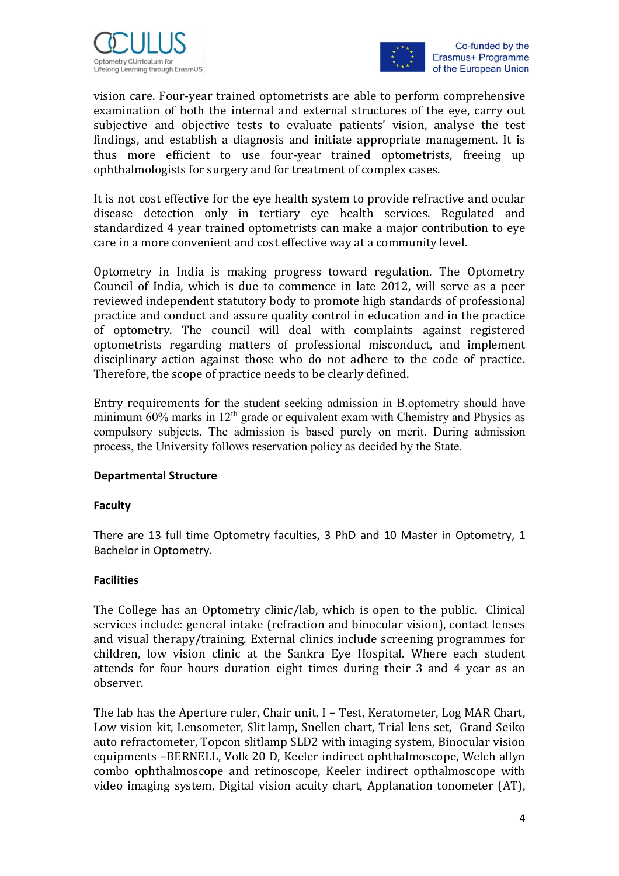



vision care. Four-year trained optometrists are able to perform comprehensive examination of both the internal and external structures of the eye, carry out subjective and objective tests to evaluate patients' vision, analyse the test findings, and establish a diagnosis and initiate appropriate management. It is thus more efficient to use four-year trained optometrists, freeing up ophthalmologists for surgery and for treatment of complex cases.

It is not cost effective for the eye health system to provide refractive and ocular disease detection only in tertiary eye health services. Regulated and standardized 4 year trained optometrists can make a major contribution to eye care in a more convenient and cost effective way at a community level.

Optometry in India is making progress toward regulation. The Optometry Council of India, which is due to commence in late 2012, will serve as a peer reviewed independent statutory body to promote high standards of professional practice and conduct and assure quality control in education and in the practice of optometry. The council will deal with complaints against registered optometrists regarding matters of professional misconduct, and implement disciplinary action against those who do not adhere to the code of practice. Therefore, the scope of practice needs to be clearly defined.

Entry requirements for the student seeking admission in B.optometry should have minimum  $60\%$  marks in  $12<sup>th</sup>$  grade or equivalent exam with Chemistry and Physics as compulsory subjects. The admission is based purely on merit. During admission process, the University follows reservation policy as decided by the State.

#### **Departmental Structure**

### **Faculty**

There are 13 full time Optometry faculties, 3 PhD and 10 Master in Optometry, 1 Bachelor in Optometry.

#### **Facilities**

The College has an Optometry clinic/lab, which is open to the public. Clinical services include: general intake (refraction and binocular vision), contact lenses and visual therapy/training. External clinics include screening programmes for children, low vision clinic at the Sankra Eye Hospital. Where each student attends for four hours duration eight times during their 3 and 4 year as an observer.

The lab has the Aperture ruler, Chair unit, I – Test, Keratometer, Log MAR Chart, Low vision kit, Lensometer, Slit lamp, Snellen chart, Trial lens set, Grand Seiko auto refractometer, Topcon slitlamp SLD2 with imaging system, Binocular vision equipments –BERNELL, Volk 20 D, Keeler indirect ophthalmoscope, Welch allyn combo ophthalmoscope and retinoscope, Keeler indirect opthalmoscope with video imaging system, Digital vision acuity chart, Applanation tonometer (AT),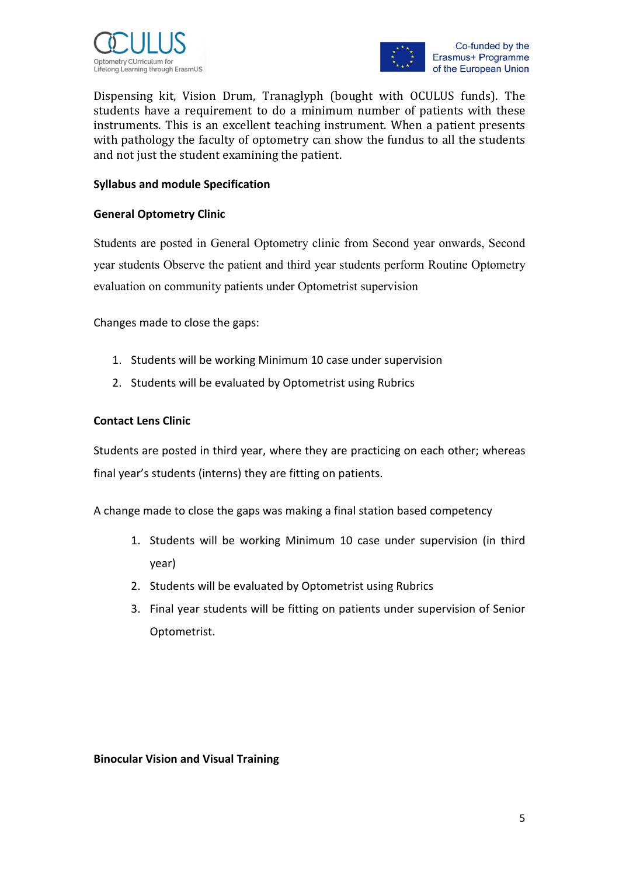



Dispensing kit, Vision Drum, Tranaglyph (bought with OCULUS funds). The students have a requirement to do a minimum number of patients with these instruments. This is an excellent teaching instrument. When a patient presents with pathology the faculty of optometry can show the fundus to all the students and not just the student examining the patient.

#### **Syllabus and module Specification**

#### **General Optometry Clinic**

Students are posted in General Optometry clinic from Second year onwards, Second year students Observe the patient and third year students perform Routine Optometry evaluation on community patients under Optometrist supervision

Changes made to close the gaps:

- 1. Students will be working Minimum 10 case under supervision
- 2. Students will be evaluated by Optometrist using Rubrics

#### **Contact Lens Clinic**

Students are posted in third year, where they are practicing on each other; whereas final year's students (interns) they are fitting on patients.

A change made to close the gaps was making a final station based competency

- 1. Students will be working Minimum 10 case under supervision (in third year)
- 2. Students will be evaluated by Optometrist using Rubrics
- 3. Final year students will be fitting on patients under supervision of Senior Optometrist.

#### **Binocular Vision and Visual Training**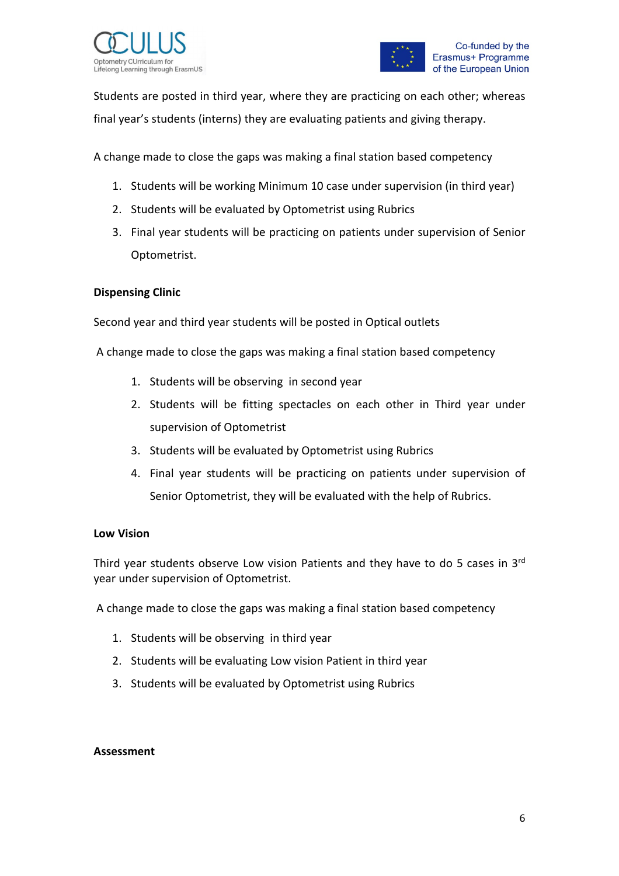



Students are posted in third year, where they are practicing on each other; whereas final year's students (interns) they are evaluating patients and giving therapy.

A change made to close the gaps was making a final station based competency

- 1. Students will be working Minimum 10 case under supervision (in third year)
- 2. Students will be evaluated by Optometrist using Rubrics
- 3. Final year students will be practicing on patients under supervision of Senior Optometrist.

#### **Dispensing Clinic**

Second year and third year students will be posted in Optical outlets

A change made to close the gaps was making a final station based competency

- 1. Students will be observing in second year
- 2. Students will be fitting spectacles on each other in Third year under supervision of Optometrist
- 3. Students will be evaluated by Optometrist using Rubrics
- 4. Final year students will be practicing on patients under supervision of Senior Optometrist, they will be evaluated with the help of Rubrics.

#### **Low Vision**

Third year students observe Low vision Patients and they have to do 5 cases in 3rd year under supervision of Optometrist.

A change made to close the gaps was making a final station based competency

- 1. Students will be observing in third year
- 2. Students will be evaluating Low vision Patient in third year
- 3. Students will be evaluated by Optometrist using Rubrics

#### **Assessment**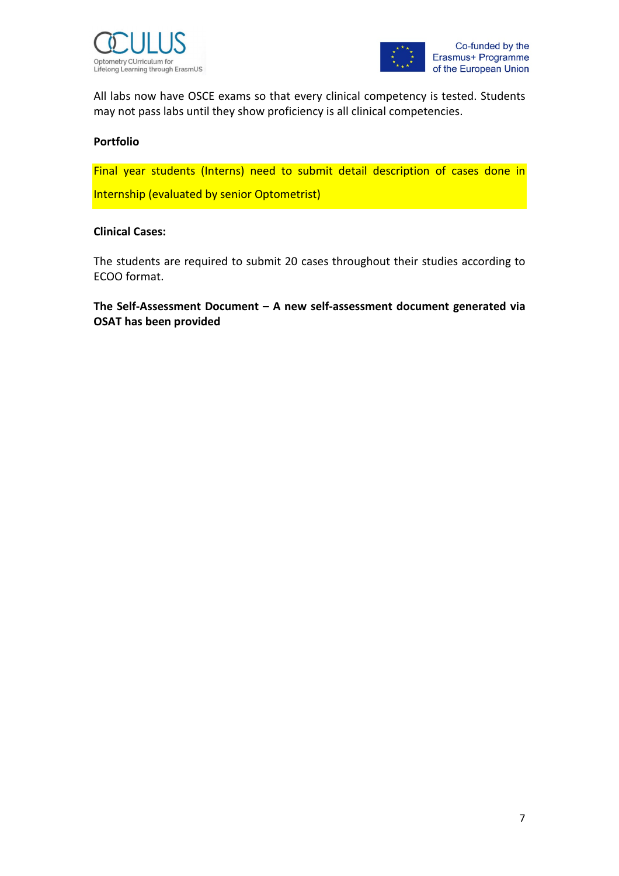



All labs now have OSCE exams so that every clinical competency is tested. Students may not pass labs until they show proficiency is all clinical competencies.

#### **Portfolio**

Final year students (Interns) need to submit detail description of cases done in Internship (evaluated by senior Optometrist)

#### **Clinical Cases:**

The students are required to submit 20 cases throughout their studies according to ECOO format.

**The Self-Assessment Document – A new self-assessment document generated via OSAT has been provided**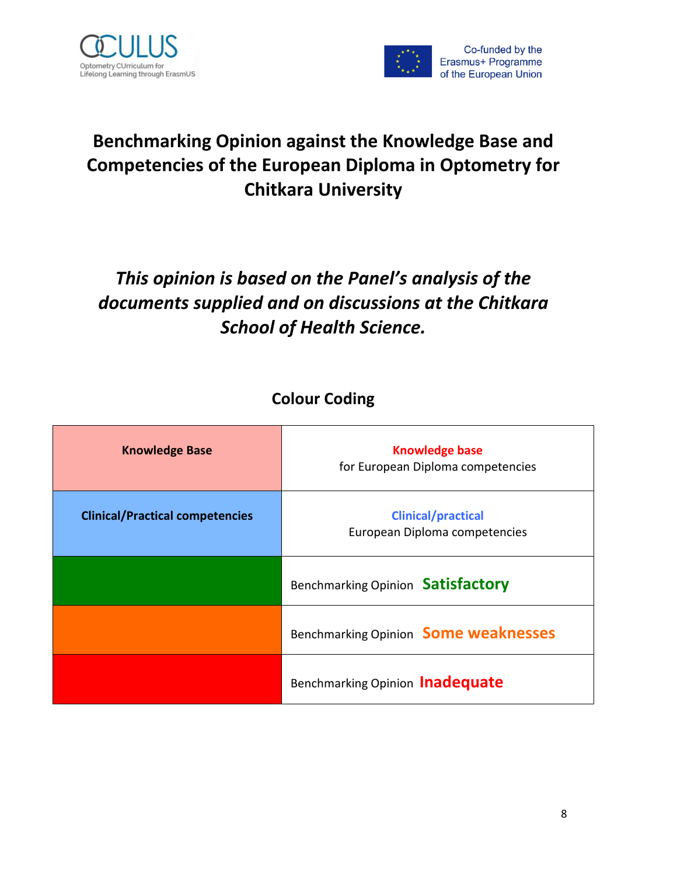



# **Benchmarking Opinion against the Knowledge Base and Competencies of the European Diploma in Optometry for Chitkara University**

# *This opinion is based on the Panel's analysis of the documents supplied and on discussions at the Chitkara School of Health Science.*

## **Colour Coding**

| <b>Knowledge Base</b>                  | <b>Knowledge base</b><br>for European Diploma competencies |  |
|----------------------------------------|------------------------------------------------------------|--|
| <b>Clinical/Practical competencies</b> | <b>Clinical/practical</b><br>European Diploma competencies |  |
|                                        | Benchmarking Opinion Satisfactory                          |  |
|                                        | Benchmarking Opinion Some weaknesses                       |  |
|                                        | Benchmarking Opinion Inadequate                            |  |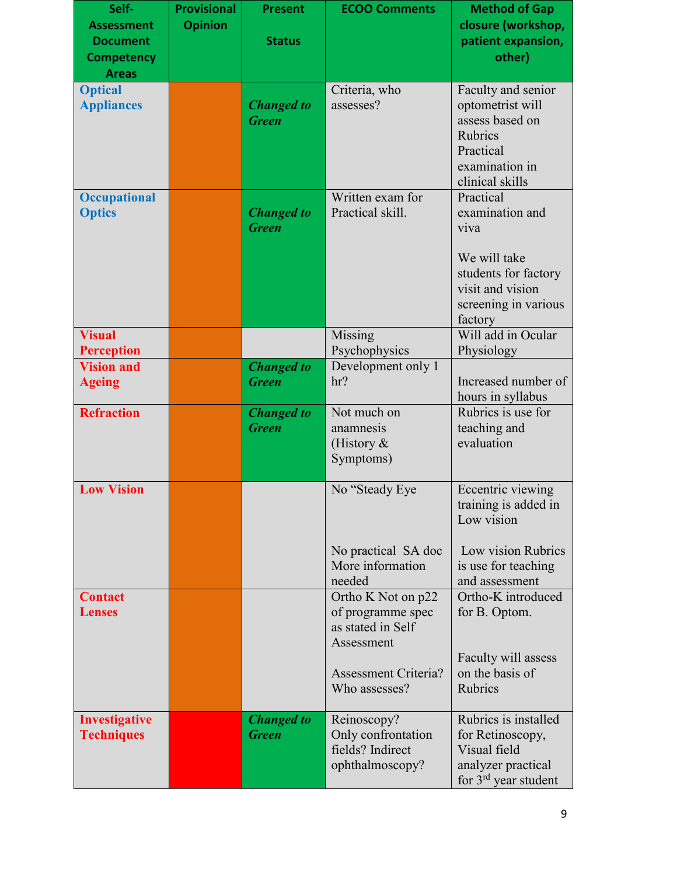| Self-<br><b>Assessment</b><br><b>Document</b><br><b>Competency</b><br><b>Areas</b> | <b>Provisional</b><br><b>Opinion</b> | <b>Present</b><br><b>Status</b>   | <b>ECOO Comments</b>                                                       | <b>Method of Gap</b><br>closure (workshop,<br>patient expansion,<br>other)                                                          |
|------------------------------------------------------------------------------------|--------------------------------------|-----------------------------------|----------------------------------------------------------------------------|-------------------------------------------------------------------------------------------------------------------------------------|
| <b>Optical</b><br><b>Appliances</b>                                                |                                      | <b>Changed</b> to<br><b>Green</b> | Criteria, who<br>assesses?                                                 | Faculty and senior<br>optometrist will<br>assess based on<br>Rubrics<br>Practical<br>examination in<br>clinical skills              |
| <b>Occupational</b><br><b>Optics</b>                                               |                                      | <b>Changed</b> to<br><b>Green</b> | Written exam for<br>Practical skill.                                       | Practical<br>examination and<br>viva<br>We will take<br>students for factory<br>visit and vision<br>screening in various<br>factory |
| <b>Visual</b><br><b>Perception</b>                                                 |                                      |                                   | Missing<br>Psychophysics                                                   | Will add in Ocular<br>Physiology                                                                                                    |
| <b>Vision and</b><br><b>Ageing</b>                                                 |                                      | <b>Changed</b> to<br><b>Green</b> | Development only 1<br>hr?                                                  | Increased number of<br>hours in syllabus                                                                                            |
| <b>Refraction</b>                                                                  |                                      | <b>Changed</b> to<br><b>Green</b> | Not much on<br>anamnesis<br>(History $\&$<br>Symptoms)                     | Rubrics is use for<br>teaching and<br>evaluation                                                                                    |
| <b>Low Vision</b>                                                                  |                                      |                                   | No "Steady Eye"<br>No practical SA doc                                     | Eccentric viewing<br>training is added in<br>Low vision<br>Low vision Rubrics                                                       |
|                                                                                    |                                      |                                   | More information<br>needed                                                 | is use for teaching<br>and assessment                                                                                               |
| <b>Contact</b><br><b>Lenses</b>                                                    |                                      |                                   | Ortho K Not on p22<br>of programme spec<br>as stated in Self<br>Assessment | Ortho-K introduced<br>for B. Optom.                                                                                                 |
|                                                                                    |                                      |                                   | <b>Assessment Criteria?</b><br>Who assesses?                               | Faculty will assess<br>on the basis of<br><b>Rubrics</b>                                                                            |
| Investigative<br><b>Techniques</b>                                                 |                                      | <b>Changed</b> to<br><b>Green</b> | Reinoscopy?<br>Only confrontation<br>fields? Indirect<br>ophthalmoscopy?   | Rubrics is installed<br>for Retinoscopy,<br>Visual field<br>analyzer practical<br>for $3rd$ year student                            |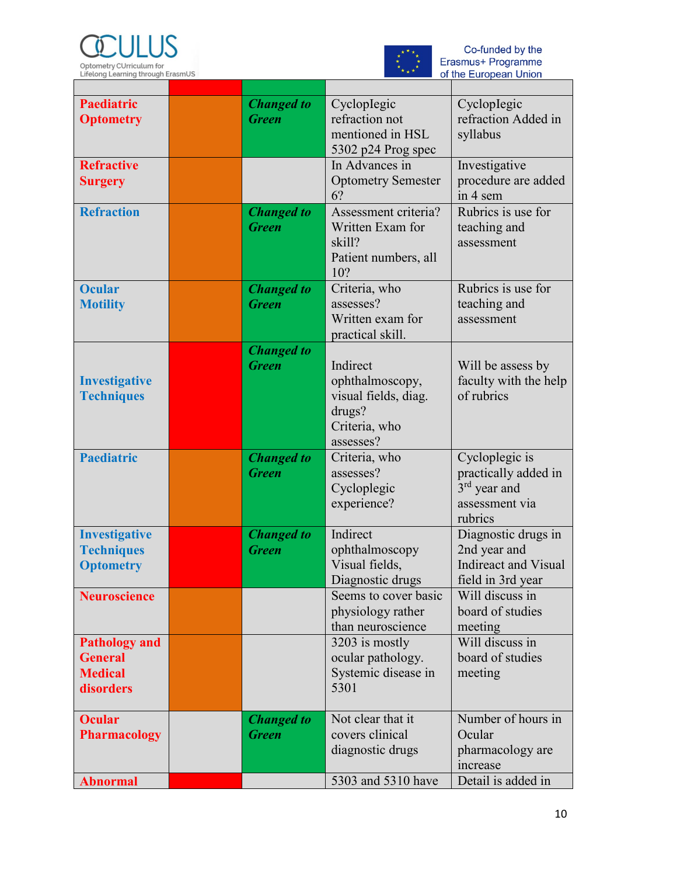



Co-funded by the<br>Erasmus+ Programme<br>of the European Union

| <b>Paediatric</b><br><b>Optometry</b>                                 | <b>Changed</b> to<br><b>Green</b> | Cycloplegic<br>refraction not<br>mentioned in HSL<br>5302 p24 Prog spec                     | CyclopIegic<br>refraction Added in<br>syllabus                                                  |
|-----------------------------------------------------------------------|-----------------------------------|---------------------------------------------------------------------------------------------|-------------------------------------------------------------------------------------------------|
| <b>Refractive</b><br><b>Surgery</b>                                   |                                   | In Advances in<br><b>Optometry Semester</b><br>6?                                           | Investigative<br>procedure are added<br>in 4 sem                                                |
| <b>Refraction</b>                                                     | <b>Changed to</b><br><b>Green</b> | Assessment criteria?<br>Written Exam for<br>skill?<br>Patient numbers, all<br>10?           | Rubrics is use for<br>teaching and<br>assessment                                                |
| <b>Ocular</b><br><b>Motility</b>                                      | <b>Changed to</b><br><b>Green</b> | Criteria, who<br>assesses?<br>Written exam for<br>practical skill.                          | Rubrics is use for<br>teaching and<br>assessment                                                |
| <b>Investigative</b><br><b>Techniques</b>                             | <b>Changed</b> to<br><b>Green</b> | Indirect<br>ophthalmoscopy,<br>visual fields, diag.<br>drugs?<br>Criteria, who<br>assesses? | Will be assess by<br>faculty with the help<br>of rubrics                                        |
| <b>Paediatric</b>                                                     | <b>Changed</b> to<br><b>Green</b> | Criteria, who<br>assesses?<br>Cycloplegic<br>experience?                                    | Cycloplegic is<br>practically added in<br>3 <sup>rd</sup> year and<br>assessment via<br>rubrics |
| <b>Investigative</b><br><b>Techniques</b><br><b>Optometry</b>         | <b>Changed</b> to<br><b>Green</b> | Indirect<br>ophthalmoscopy<br>Visual fields,<br>Diagnostic drugs                            | Diagnostic drugs in<br>2nd year and<br><b>Indireact and Visual</b><br>field in 3rd year         |
| <b>Neuroscience</b>                                                   |                                   | Seems to cover basic<br>physiology rather<br>than neuroscience                              | Will discuss in<br>board of studies<br>meeting                                                  |
| <b>Pathology and</b><br><b>General</b><br><b>Medical</b><br>disorders |                                   | 3203 is mostly<br>ocular pathology.<br>Systemic disease in<br>5301                          | Will discuss in<br>board of studies<br>meeting                                                  |
| <b>Ocular</b><br><b>Pharmacology</b>                                  | <b>Changed to</b><br><b>Green</b> | Not clear that it<br>covers clinical<br>diagnostic drugs                                    | Number of hours in<br>Ocular<br>pharmacology are<br>increase                                    |
| <b>Abnormal</b>                                                       |                                   | 5303 and 5310 have                                                                          | Detail is added in                                                                              |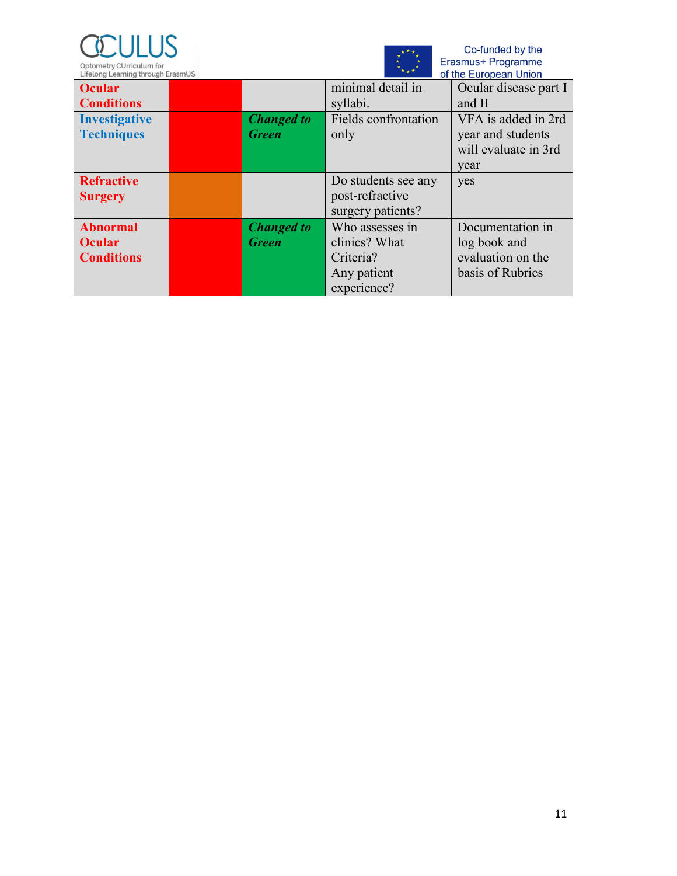



Co-funded by the<br>Erasmus+ Programme<br>of the European Union

| LIFE COTING LEGALITING LITERATURE CONTINUES<br>VI LIIG LUIVUGII VIIIVII |  |                      |                             |                       |  |
|-------------------------------------------------------------------------|--|----------------------|-----------------------------|-----------------------|--|
| <b>Ocular</b>                                                           |  |                      | minimal detail in           | Ocular disease part I |  |
| <b>Conditions</b>                                                       |  |                      | syllabi.                    | and II                |  |
| <b>Investigative</b>                                                    |  | <b>Changed to</b>    | <b>Fields</b> confrontation | VFA is added in 2rd   |  |
| <b>Techniques</b>                                                       |  | <b>Green</b><br>only |                             | year and students     |  |
|                                                                         |  |                      |                             | will evaluate in 3rd  |  |
|                                                                         |  |                      |                             | year                  |  |
| <b>Refractive</b>                                                       |  |                      | Do students see any         | yes                   |  |
| <b>Surgery</b>                                                          |  |                      | post-refractive             |                       |  |
|                                                                         |  |                      | surgery patients?           |                       |  |
| <b>Abnormal</b>                                                         |  | <b>Changed</b> to    | Who assesses in             | Documentation in      |  |
| <b>Ocular</b>                                                           |  | <b>Green</b>         | clinics? What               | log book and          |  |
| <b>Conditions</b>                                                       |  |                      | Criteria?                   | evaluation on the     |  |
|                                                                         |  |                      | Any patient                 | basis of Rubrics      |  |
|                                                                         |  |                      | experience?                 |                       |  |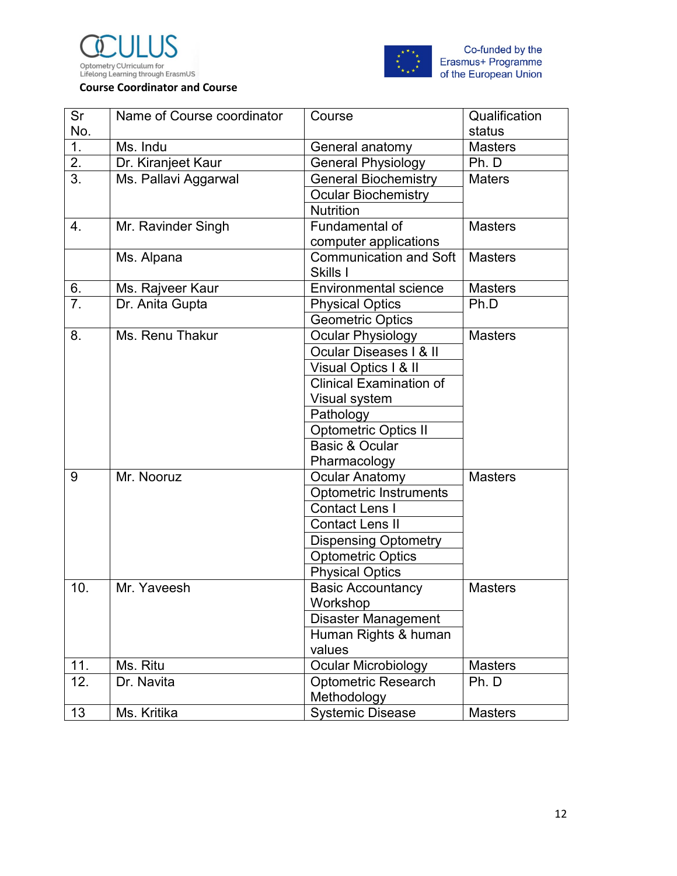





| Sr               | Name of Course coordinator | Course                         | Qualification  |
|------------------|----------------------------|--------------------------------|----------------|
| No.              |                            |                                | status         |
| 1.               | Ms. Indu                   | General anatomy                | <b>Masters</b> |
| 2.               | Dr. Kiranjeet Kaur         | <b>General Physiology</b>      | Ph. D          |
| 3.               | Ms. Pallavi Aggarwal       | <b>General Biochemistry</b>    | <b>Maters</b>  |
|                  |                            | <b>Ocular Biochemistry</b>     |                |
|                  |                            | <b>Nutrition</b>               |                |
| $\overline{4}$ . | Mr. Ravinder Singh         | Fundamental of                 | <b>Masters</b> |
|                  |                            | computer applications          |                |
|                  | Ms. Alpana                 | <b>Communication and Soft</b>  | <b>Masters</b> |
|                  |                            | Skills I                       |                |
| 6.               | Ms. Rajveer Kaur           | <b>Environmental science</b>   | <b>Masters</b> |
| $\overline{7}$ . | Dr. Anita Gupta            | <b>Physical Optics</b>         | Ph.D           |
|                  |                            | <b>Geometric Optics</b>        |                |
| 8.               | Ms. Renu Thakur            | Ocular Physiology              | <b>Masters</b> |
|                  |                            | Ocular Diseases   & II         |                |
|                  |                            | Visual Optics I & II           |                |
|                  |                            | <b>Clinical Examination of</b> |                |
|                  |                            | Visual system                  |                |
|                  |                            | Pathology                      |                |
|                  |                            | <b>Optometric Optics II</b>    |                |
|                  |                            | Basic & Ocular                 |                |
|                  |                            | Pharmacology                   |                |
| 9                | Mr. Nooruz                 | <b>Ocular Anatomy</b>          | <b>Masters</b> |
|                  |                            | <b>Optometric Instruments</b>  |                |
|                  |                            | <b>Contact Lens I</b>          |                |
|                  |                            | <b>Contact Lens II</b>         |                |
|                  |                            | <b>Dispensing Optometry</b>    |                |
|                  |                            | <b>Optometric Optics</b>       |                |
|                  |                            | <b>Physical Optics</b>         |                |
| 10.              | Mr. Yaveesh                | <b>Basic Accountancy</b>       | <b>Masters</b> |
|                  |                            | Workshop                       |                |
|                  |                            | Disaster Management            |                |
|                  |                            | Human Rights & human           |                |
|                  |                            | values                         |                |
| 11.              | Ms. Ritu                   | <b>Ocular Microbiology</b>     | <b>Masters</b> |
| 12.              | Dr. Navita                 | <b>Optometric Research</b>     | Ph. D          |
|                  |                            | Methodology                    |                |
| 13               | Ms. Kritika                | <b>Systemic Disease</b>        | <b>Masters</b> |